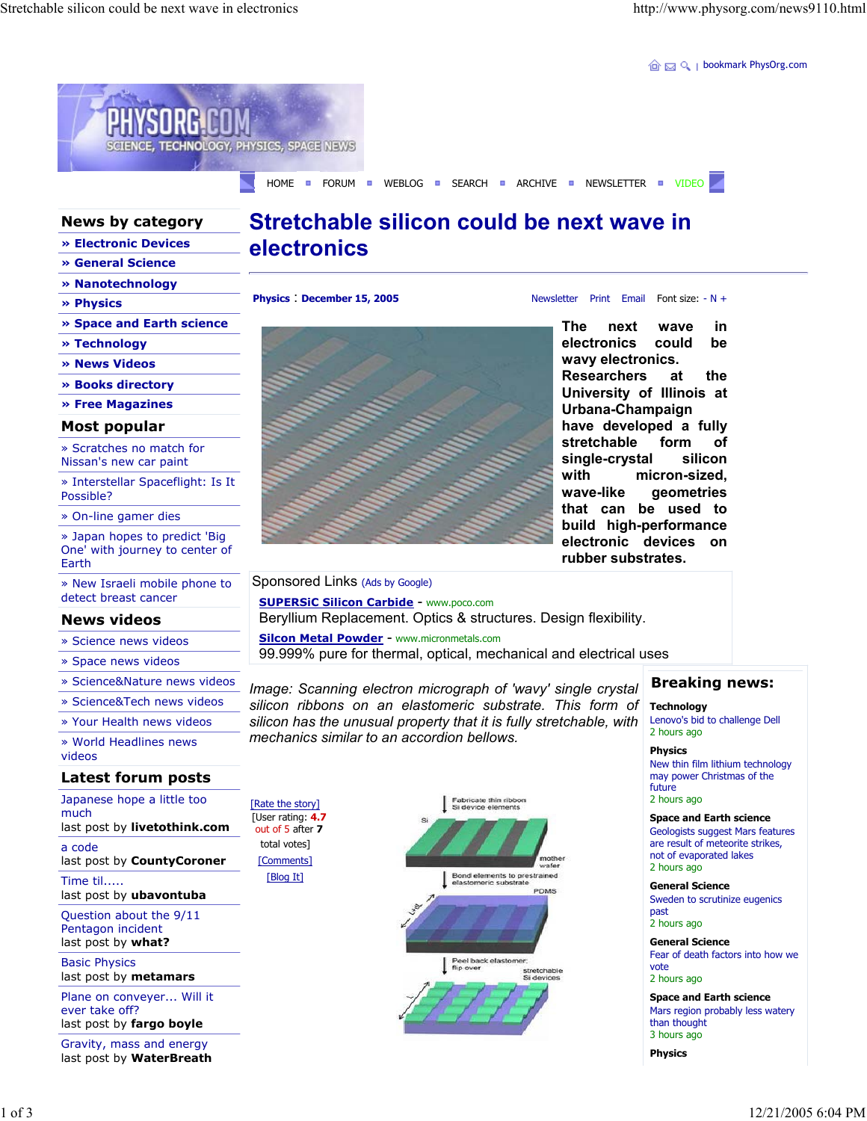**bookmark PhysOrg.com ICE, TECHNOLOGY, PHYSICS, SPACE NEWS** HOME **FORUM WEBLOG B SEARCH ARCHIVE B NEWSLETTER B** VIDEO

**Stretchable silicon could be next wave in** 

## **News by category**

- **» Electronic Devices**
- **» General Science**
- **» Nanotechnology**
- **» Physics**
- **» Space and Earth science**
- **» Technology**
- **» News Videos**
- **» Books directory**
- **» Free Magazines**

#### **Most popular**

» Scratches no match for Nissan's new car paint

- » Interstellar Spaceflight: Is It Possible?
- » On-line gamer dies

» Japan hopes to predict 'Big One' with journey to center of Earth

» New Israeli mobile phone to detect breast cancer

#### **News videos**

» Science news videos

- » Space news videos
- » Science&Nature news videos
- » Science&Tech news videos
- » Your Health news videos
- » World Headlines news videos

### **Latest forum posts**

Japanese hope a little too much last post by **livetothink.com**

a code last post by **CountyCoroner**

Time til..... last post by **ubavontuba**

Question about the 9/11 Pentagon incident last post by **what?**

Basic Physics last post by **metamars**

Plane on conveyer... Will it ever take off? last post by **fargo boyle**

Gravity, mass and energy last post by **WaterBreath**

Newsletter Print Email Font size: - N +

**The next wave in electronics could be wavy electronics. Researchers at the University of Illinois at Urbana-Champaign have developed a fully stretchable form of single-crystal silicon with micron-sized, wave-like geometries that can be used to build high-performance electronic devices on rubber substrates.**

Sponsored Links (Ads by Google)

[Rate the story] [User rating: **4.7** out of 5 after **7** total votes] [Comments] [Blog It]

**Physics** : **December 15, 2005**

**electronics**

**SUPERSiC Silicon Carbide** - www.poco.com Beryllium Replacement. Optics & structures. Design flexibility.

**Silcon Metal Powder** - www.micronmetals.com 99.999% pure for thermal, optical, mechanical and electrical uses

*Image: Scanning electron micrograph of 'wavy' single crystal silicon ribbons on an elastomeric substrate. This form of silicon has the unusual property that it is fully stretchable, with mechanics similar to an accordion bellows.* 



#### **Breaking news:**

#### **Technology** Lenovo's bid to challenge Dell 2 hours ago

#### **Physics**

New thin film lithium technology may power Christmas of the future 2 hours ago

**Space and Earth science** Geologists suggest Mars features are result of meteorite strikes, not of evaporated lakes 2 hours ago

**General Science** Sweden to scrutinize eugenics

past 2 hours ago

**General Science** Fear of death factors into how we vote 2 hours ago

**Space and Earth science** Mars region probably less watery than thought 3 hours ago

**Physics**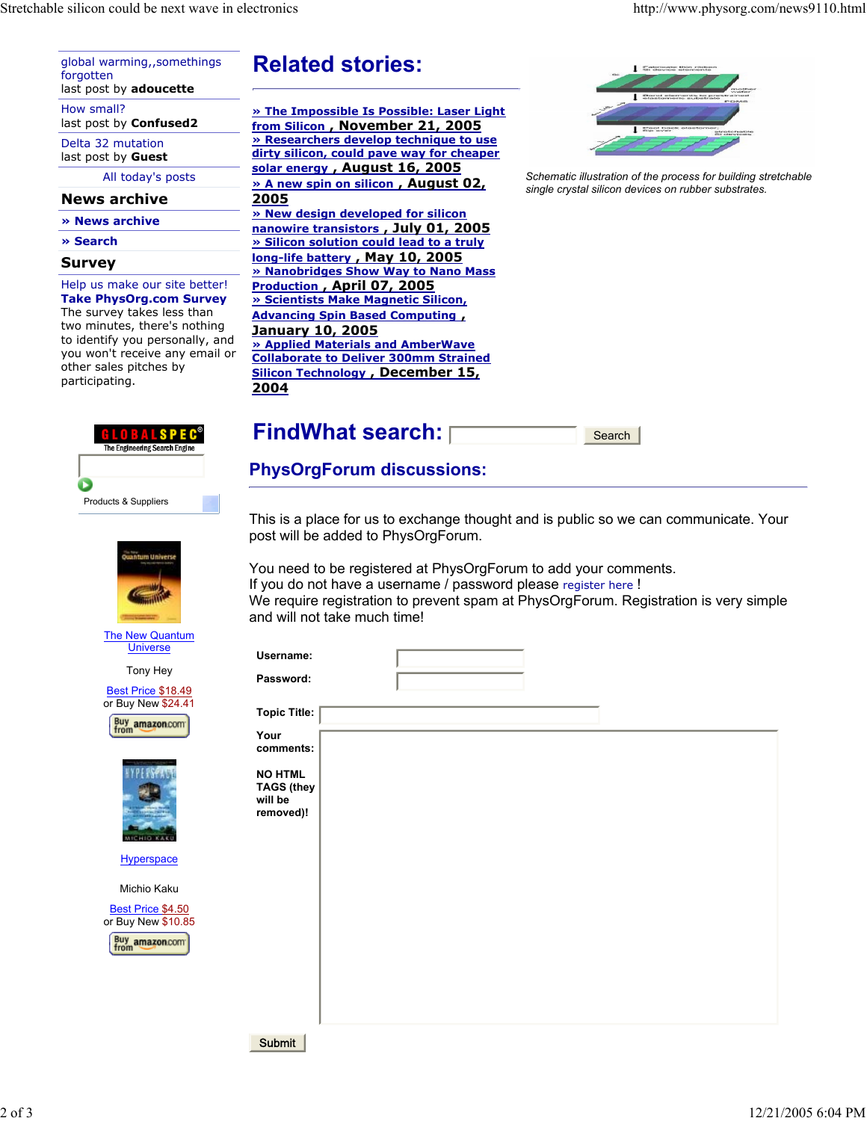| How small?<br>last post by Confused2<br>Delta 32 mutation<br>last post by Guest<br>All today's posts<br><b>News archive</b><br>2005<br>» News archive<br>» Search<br><b>Survey</b><br>Help us make our site better!<br><b>Take PhysOrg.com Survey</b><br>The survey takes less than<br>two minutes, there's nothing<br>to identify you personally, and<br>you won't receive any email or<br>other sales pitches by<br>participating.<br>2004<br>The Engineering Search Engine<br>Products & Suppliers<br><b>Quantum Universi</b><br><b>The New Quantum</b><br><b>Universe</b><br>Username:<br>Tony Hey<br>Password:<br><b>Best Price \$18.49</b><br>or Buy New \$24.41<br><b>Topic Title:</b><br>Buy amazon.com<br>Your | forgotten<br>last post by adoucette | <b>Related</b>                                                                                                                                                                                                          |
|-------------------------------------------------------------------------------------------------------------------------------------------------------------------------------------------------------------------------------------------------------------------------------------------------------------------------------------------------------------------------------------------------------------------------------------------------------------------------------------------------------------------------------------------------------------------------------------------------------------------------------------------------------------------------------------------------------------------------|-------------------------------------|-------------------------------------------------------------------------------------------------------------------------------------------------------------------------------------------------------------------------|
|                                                                                                                                                                                                                                                                                                                                                                                                                                                                                                                                                                                                                                                                                                                         |                                     | <u>» The Imposs</u><br>from Silicon<br>» Researcher<br>dirty silicon,<br>solar energy<br>» A new spin                                                                                                                   |
|                                                                                                                                                                                                                                                                                                                                                                                                                                                                                                                                                                                                                                                                                                                         |                                     | » New design<br>nanowire tra<br>» Silicon solu<br>long-life batt<br>» Nanobridge<br>Production,<br>» Scientists I<br><b>Advancing Sp</b><br>J <u>anuary 10</u><br>» Applied Ma<br>Collaborate t<br><b>Silicon Techn</b> |
|                                                                                                                                                                                                                                                                                                                                                                                                                                                                                                                                                                                                                                                                                                                         |                                     | <b>FindWh</b>                                                                                                                                                                                                           |
|                                                                                                                                                                                                                                                                                                                                                                                                                                                                                                                                                                                                                                                                                                                         |                                     | <b>PhysOrgF</b>                                                                                                                                                                                                         |
|                                                                                                                                                                                                                                                                                                                                                                                                                                                                                                                                                                                                                                                                                                                         |                                     | This is a plac<br>post will be a                                                                                                                                                                                        |
|                                                                                                                                                                                                                                                                                                                                                                                                                                                                                                                                                                                                                                                                                                                         |                                     | You need to I<br>If you do not<br>We require re<br>and will not ta                                                                                                                                                      |
|                                                                                                                                                                                                                                                                                                                                                                                                                                                                                                                                                                                                                                                                                                                         |                                     |                                                                                                                                                                                                                         |
|                                                                                                                                                                                                                                                                                                                                                                                                                                                                                                                                                                                                                                                                                                                         |                                     |                                                                                                                                                                                                                         |
|                                                                                                                                                                                                                                                                                                                                                                                                                                                                                                                                                                                                                                                                                                                         |                                     |                                                                                                                                                                                                                         |
|                                                                                                                                                                                                                                                                                                                                                                                                                                                                                                                                                                                                                                                                                                                         |                                     |                                                                                                                                                                                                                         |
| comments:                                                                                                                                                                                                                                                                                                                                                                                                                                                                                                                                                                                                                                                                                                               |                                     |                                                                                                                                                                                                                         |
| <b>NO HTML</b><br>TAGS (they<br>will be<br>removed)!                                                                                                                                                                                                                                                                                                                                                                                                                                                                                                                                                                                                                                                                    |                                     |                                                                                                                                                                                                                         |
|                                                                                                                                                                                                                                                                                                                                                                                                                                                                                                                                                                                                                                                                                                                         |                                     |                                                                                                                                                                                                                         |
| <b>Hyperspace</b>                                                                                                                                                                                                                                                                                                                                                                                                                                                                                                                                                                                                                                                                                                       |                                     |                                                                                                                                                                                                                         |

# **Relations:**

**» The Impossible Is Possible: Laser Light from Silicon , November 21, 2005** <u>s develop technique to use</u> could pave way for cheaper **solar energy , August 16, 2005 on silicon, August 02,** <u>n developed for silicon</u> **nanowire transistors , July 01, 2005 xilicon could lead to a truly long-life battery , May 10, 2005 <u>8 Show Way to Nano Mass</u> Production , April 07, 2005 Make Magnetic Silicon, Adding Spin Based Computing ,** <u>, 2005</u> **Replied AmberWave Collaborate to Deliver 300mm Strained Sology** , December 15,



*Schematic illustration of the process for building stretchable single crystal silicon devices on rubber substrates.*

# **Find Search:**  $\sqrt{S_{\text{search}}S_{\text{search}}S_{\text{search}}}$

**Physon discussions:** 

e for us to exchange thought and is public so we can communicate. Your dded to PhysOrgForum.

be registered at PhysOrgForum to add your comments. have a username / password please register here ! egistration to prevent spam at PhysOrgForum. Registration is very simple ake much time!

| Username:                                 |  |  |  |
|-------------------------------------------|--|--|--|
| Password:                                 |  |  |  |
| <b>Topic Title:</b>                       |  |  |  |
| Your<br>comments:                         |  |  |  |
| <b>NO HTML</b>                            |  |  |  |
| <b>TAGS</b> (they<br>will be<br>removed)! |  |  |  |
|                                           |  |  |  |
|                                           |  |  |  |
|                                           |  |  |  |
|                                           |  |  |  |
|                                           |  |  |  |
|                                           |  |  |  |
|                                           |  |  |  |
|                                           |  |  |  |
|                                           |  |  |  |

Submit